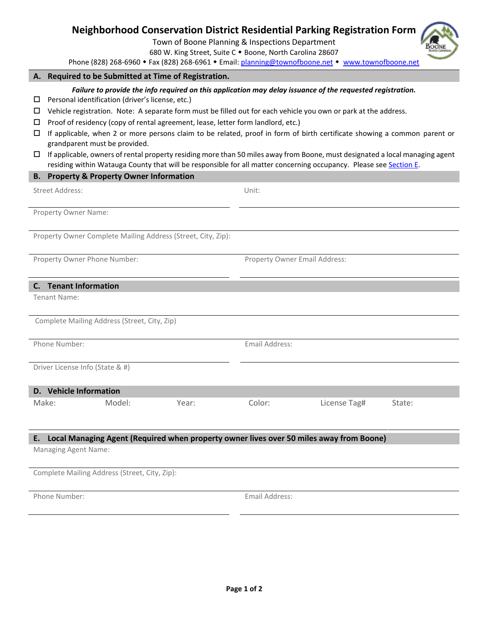# **Neighborhood Conservation District Residential Parking Registration Form**

Town of Boone Planning & Inspections Department

680 W. King Street, Suite C . Boone, North Carolina 28607

Phone (828) 268-6960 • Fax (828) 268-6961 • Email: [planning@townofboone.net](mailto:planning@townofboone.net) • [www.townofboone.net](http://www.townofboone.net/)

## **A. Required to be Submitted at Time of Registration.**

#### *Failure to provide the info required on this application may delay issuance of the requested registration.*

 $\square$  Personal identification (driver's license, etc.)

- $\Box$  Vehicle registration. Note: A separate form must be filled out for each vehicle you own or park at the address.
- $\square$  Proof of residency (copy of rental agreement, lease, letter form landlord, etc.)
- $\Box$  If applicable, when 2 or more persons claim to be related, proof in form of birth certificate showing a common parent or grandparent must be provided.
- $\Box$  If applicable, owners of rental property residing more than 50 miles away from Boone, must designated a local managing agent residing within Watauga County that will be responsible for all matter concerning occupancy. Please see [Section E.](#page-1-0)

#### **B. Property & Property Owner Information**

Street Address: Unit:

Property Owner Name:

Property Owner Complete Mailing Address (Street, City, Zip):

Property Owner Phone Number: Property Owner Email Address:

# **C. Tenant Information**

Tenant Name:

Complete Mailing Address (Street, City, Zip)

Phone Number: The Communication of the Communication of the Email Address:

Driver License Info (State & #)

| D. Vehicle Information |        |       |        |              |        |  |
|------------------------|--------|-------|--------|--------------|--------|--|
| Make:                  | Model: | Year: | color: | License Tag# | State: |  |

# **E. Local Managing Agent (Required when property owner lives over 50 miles away from Boone)**

Managing Agent Name:

Complete Mailing Address (Street, City, Zip):

Phone Number: Email Address: